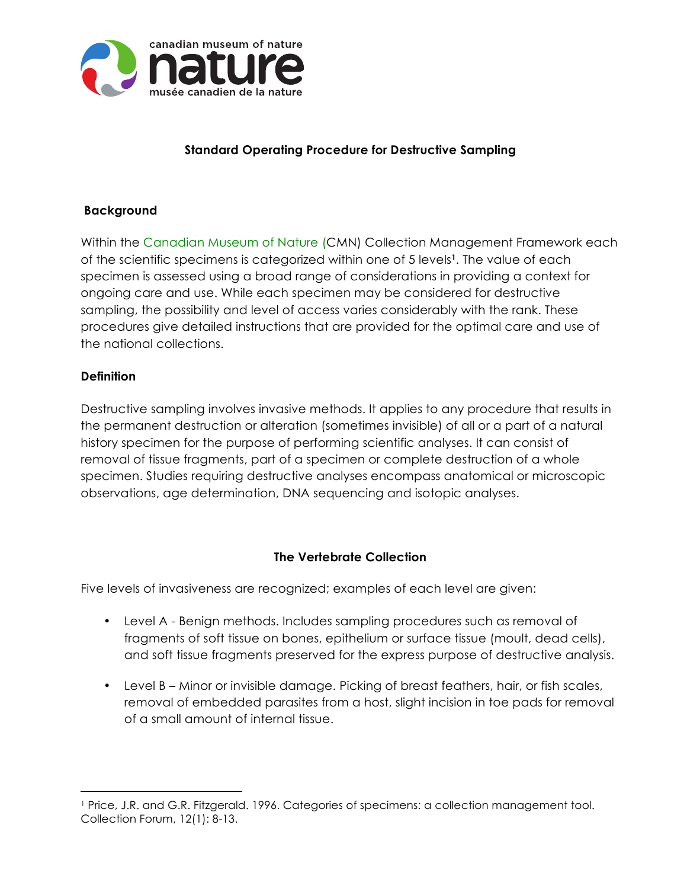

# **Standard Operating Procedure for Destructive Sampling**

### **Background**

Within the Canadian Museum of Nature (CMN) Collection Management Framework each of the scientific specimens is categorized within one of 5 levels**1**. The value of each specimen is assessed using a broad range of considerations in providing a context for ongoing care and use. While each specimen may be considered for destructive sampling, the possibility and level of access varies considerably with the rank. These procedures give detailed instructions that are provided for the optimal care and use of the national collections.

#### **Definition**

 $\overline{a}$ 

Destructive sampling involves invasive methods. It applies to any procedure that results in the permanent destruction or alteration (sometimes invisible) of all or a part of a natural history specimen for the purpose of performing scientific analyses. It can consist of removal of tissue fragments, part of a specimen or complete destruction of a whole specimen. Studies requiring destructive analyses encompass anatomical or microscopic observations, age determination, DNA sequencing and isotopic analyses.

#### **The Vertebrate Collection**

Five levels of invasiveness are recognized; examples of each level are given:

- Level A Benign methods. Includes sampling procedures such as removal of fragments of soft tissue on bones, epithelium or surface tissue (moult, dead cells), and soft tissue fragments preserved for the express purpose of destructive analysis.
- Level B Minor or invisible damage. Picking of breast feathers, hair, or fish scales, removal of embedded parasites from a host, slight incision in toe pads for removal of a small amount of internal tissue.

<sup>1</sup> Price, J.R. and G.R. Fitzgerald. 1996. Categories of specimens: a collection management tool. Collection Forum, 12(1): 8-13.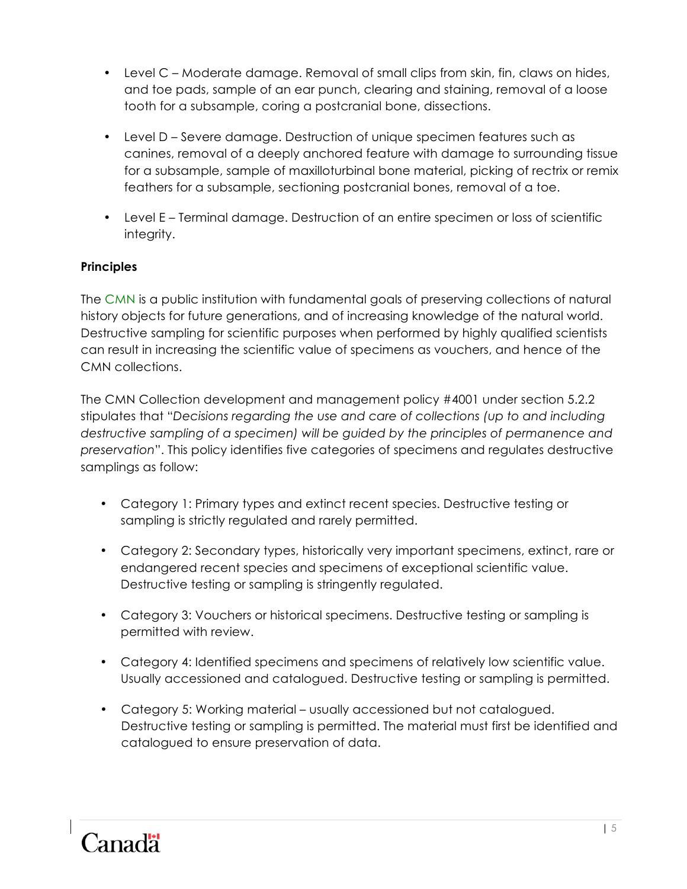- Level C Moderate damage. Removal of small clips from skin, fin, claws on hides, and toe pads, sample of an ear punch, clearing and staining, removal of a loose tooth for a subsample, coring a postcranial bone, dissections.
- Level D Severe damage. Destruction of unique specimen features such as canines, removal of a deeply anchored feature with damage to surrounding tissue for a subsample, sample of maxilloturbinal bone material, picking of rectrix or remix feathers for a subsample, sectioning postcranial bones, removal of a toe.
- Level E Terminal damage. Destruction of an entire specimen or loss of scientific integrity.

## **Principles**

The CMN is a public institution with fundamental goals of preserving collections of natural history objects for future generations, and of increasing knowledge of the natural world. Destructive sampling for scientific purposes when performed by highly qualified scientists can result in increasing the scientific value of specimens as vouchers, and hence of the CMN collections.

The CMN Collection development and management policy #4001 under section 5.2.2 stipulates that "*Decisions regarding the use and care of collections (up to and including destructive sampling of a specimen) will be guided by the principles of permanence and preservation*". This policy identifies five categories of specimens and regulates destructive samplings as follow:

- Category 1: Primary types and extinct recent species. Destructive testing or sampling is strictly regulated and rarely permitted.
- Category 2: Secondary types, historically very important specimens, extinct, rare or endangered recent species and specimens of exceptional scientific value. Destructive testing or sampling is stringently regulated.
- Category 3: Vouchers or historical specimens. Destructive testing or sampling is permitted with review.
- Category 4: Identified specimens and specimens of relatively low scientific value. Usually accessioned and catalogued. Destructive testing or sampling is permitted.
- Category 5: Working material usually accessioned but not catalogued. Destructive testing or sampling is permitted. The material must first be identified and catalogued to ensure preservation of data.

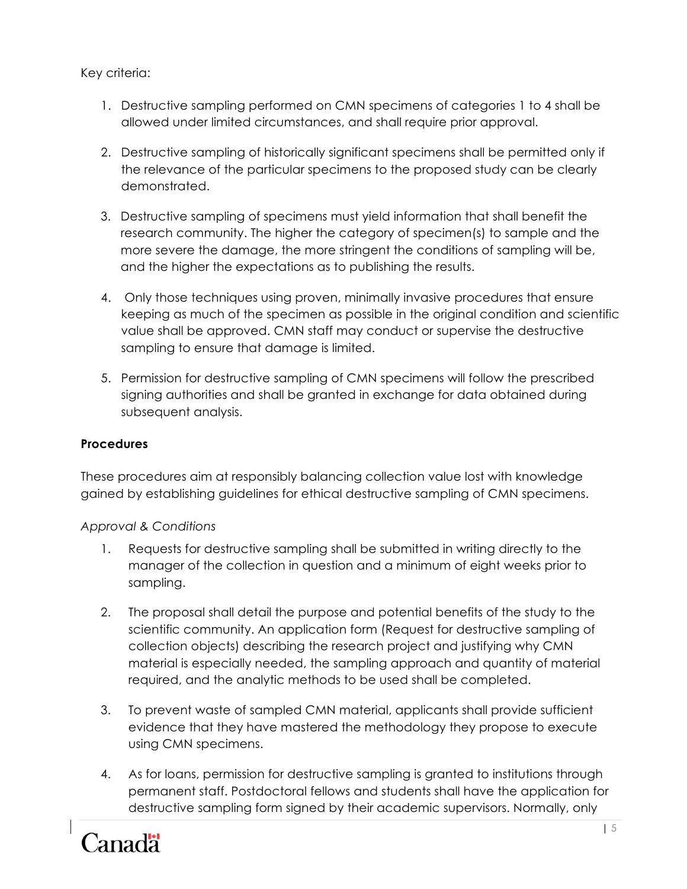Key criteria:

- 1. Destructive sampling performed on CMN specimens of categories 1 to 4 shall be allowed under limited circumstances, and shall require prior approval.
- 2. Destructive sampling of historically significant specimens shall be permitted only if the relevance of the particular specimens to the proposed study can be clearly demonstrated.
- 3. Destructive sampling of specimens must yield information that shall benefit the research community. The higher the category of specimen(s) to sample and the more severe the damage, the more stringent the conditions of sampling will be, and the higher the expectations as to publishing the results.
- 4. Only those techniques using proven, minimally invasive procedures that ensure keeping as much of the specimen as possible in the original condition and scientific value shall be approved. CMN staff may conduct or supervise the destructive sampling to ensure that damage is limited.
- 5. Permission for destructive sampling of CMN specimens will follow the prescribed signing authorities and shall be granted in exchange for data obtained during subsequent analysis.

## **Procedures**

These procedures aim at responsibly balancing collection value lost with knowledge gained by establishing guidelines for ethical destructive sampling of CMN specimens.

### *Approval & Conditions*

- 1. Requests for destructive sampling shall be submitted in writing directly to the manager of the collection in question and a minimum of eight weeks prior to sampling.
- 2. The proposal shall detail the purpose and potential benefits of the study to the scientific community. An application form (Request for destructive sampling of collection objects) describing the research project and justifying why CMN material is especially needed, the sampling approach and quantity of material required, and the analytic methods to be used shall be completed.
- 3. To prevent waste of sampled CMN material, applicants shall provide sufficient evidence that they have mastered the methodology they propose to execute using CMN specimens.
- 4. As for loans, permission for destructive sampling is granted to institutions through permanent staff. Postdoctoral fellows and students shall have the application for destructive sampling form signed by their academic supervisors. Normally, only

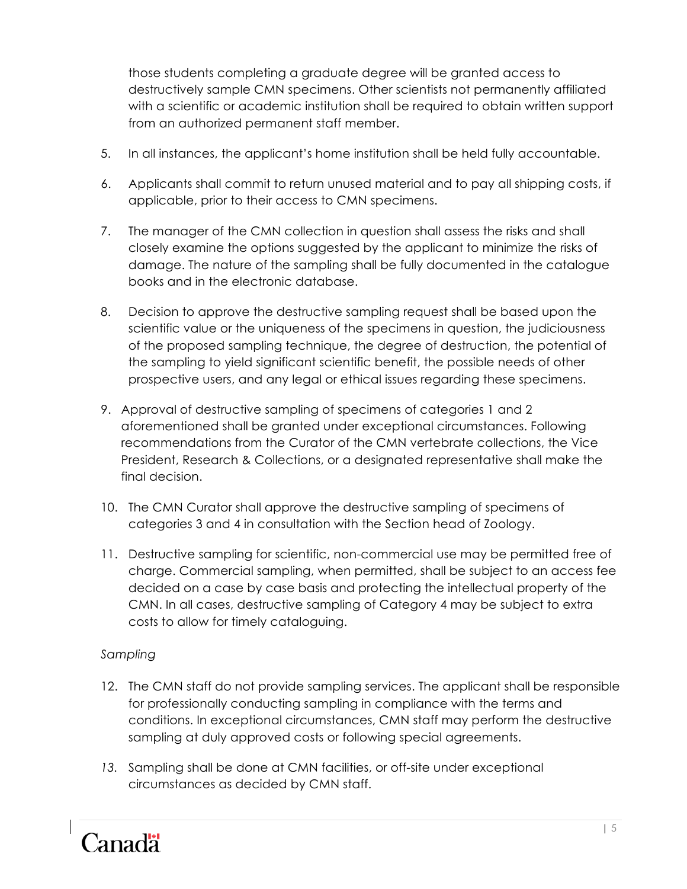those students completing a graduate degree will be granted access to destructively sample CMN specimens. Other scientists not permanently affiliated with a scientific or academic institution shall be required to obtain written support from an authorized permanent staff member.

- 5. In all instances, the applicant's home institution shall be held fully accountable.
- 6. Applicants shall commit to return unused material and to pay all shipping costs, if applicable, prior to their access to CMN specimens.
- 7. The manager of the CMN collection in question shall assess the risks and shall closely examine the options suggested by the applicant to minimize the risks of damage. The nature of the sampling shall be fully documented in the catalogue books and in the electronic database.
- 8. Decision to approve the destructive sampling request shall be based upon the scientific value or the uniqueness of the specimens in question, the judiciousness of the proposed sampling technique, the degree of destruction, the potential of the sampling to yield significant scientific benefit, the possible needs of other prospective users, and any legal or ethical issues regarding these specimens.
- 9. Approval of destructive sampling of specimens of categories 1 and 2 aforementioned shall be granted under exceptional circumstances. Following recommendations from the Curator of the CMN vertebrate collections, the Vice President, Research & Collections, or a designated representative shall make the final decision.
- 10. The CMN Curator shall approve the destructive sampling of specimens of categories 3 and 4 in consultation with the Section head of Zoology.
- 11. Destructive sampling for scientific, non-commercial use may be permitted free of charge. Commercial sampling, when permitted, shall be subject to an access fee decided on a case by case basis and protecting the intellectual property of the CMN. In all cases, destructive sampling of Category 4 may be subject to extra costs to allow for timely cataloguing.

### *Sampling*

- 12. The CMN staff do not provide sampling services. The applicant shall be responsible for professionally conducting sampling in compliance with the terms and conditions. In exceptional circumstances, CMN staff may perform the destructive sampling at duly approved costs or following special agreements.
- *13.* Sampling shall be done at CMN facilities, or off-site under exceptional circumstances as decided by CMN staff.